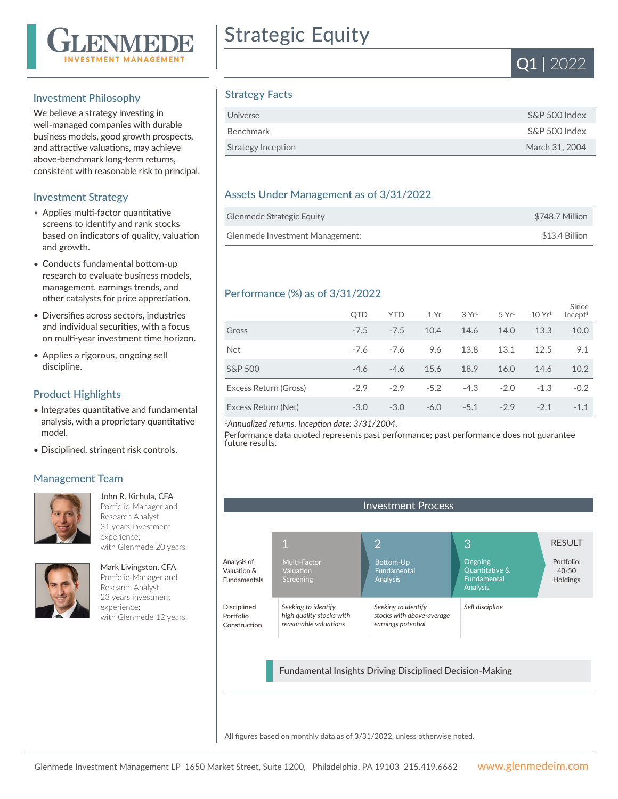

## Investment Philosophy

We believe a strategy investing in well-managed companies with durable business models, good growth prospects, and attractive valuations, may achieve above-benchmark long-term returns, consistent with reasonable risk to principal.

## Investment Strategy

- Applies multi-factor quantitative screens to identify and rank stocks based on indicators of quality, valuation and growth.
- Conducts fundamental bottom-up research to evaluate business models, management, earnings trends, and other catalysts for price appreciation.
- Diversifies across sectors, industries and individual securities, with a focus on multi-year investment time horizon.
- Applies a rigorous, ongoing sell discipline.

# Product Highlights

- Integrates quantitative and fundamental analysis, with a proprietary quantitative model.
- Disciplined, stringent risk controls.

#### Management Team



John R. Kichula, CFA Portfolio Manager and Research Analyst 31 years investment experience; with Glenmede 20 years.



Mark Livingston, CFA Portfolio Manager and Research Analyst 23 years investment experience; with Glenmede 12 years.

# Strategic Equity



# Strategy Facts

| Universe           | S&P 500 Index  |
|--------------------|----------------|
| Benchmark          | S&P 500 Index  |
| Strategy Inception | March 31, 2004 |

# Assets Under Management as of 3/31/2022

| Glenmede Strategic Equity       | \$748.7 Million |
|---------------------------------|-----------------|
| Glenmede Investment Management: | \$13.4 Billion  |

## Performance (%) as of 3/31/2022

|                       | <b>OTD</b> | <b>YTD</b> | 1 Yr   | 3Yr <sup>1</sup> | 5 Yr <sup>1</sup> | 10 Yr <sup>1</sup> | Since<br>Incept <sup>1</sup> |
|-----------------------|------------|------------|--------|------------------|-------------------|--------------------|------------------------------|
| Gross                 | $-7.5$     | $-7.5$     | 10.4   | 14.6             | 14.0              | 13.3               | 10.0                         |
| <b>Net</b>            | $-7.6$     | $-7.6$     | 9.6    | 13.8             | 13.1              | 12.5               | 9.1                          |
| S&P 500               | $-4.6$     | $-4.6$     | 15.6   | 18.9             | 16.0              | 14.6               | 10.2                         |
| Excess Return (Gross) | $-2.9$     | $-2.9$     | $-5.2$ | $-4.3$           | $-2.0$            | $-1.3$             | $-0.2$                       |
| Excess Return (Net)   | $-3.0$     | $-3.0$     | $-6.0$ | $-5.1$           | $-2.9$            | $-2.1$             | $-1.1$                       |

*<sup>1</sup>Annualized returns. Inception date: 3/31/2004.*

Performance data quoted represents past performance; past performance does not guarantee future results.



All figures based on monthly data as of 3/31/2022, unless otherwise noted.